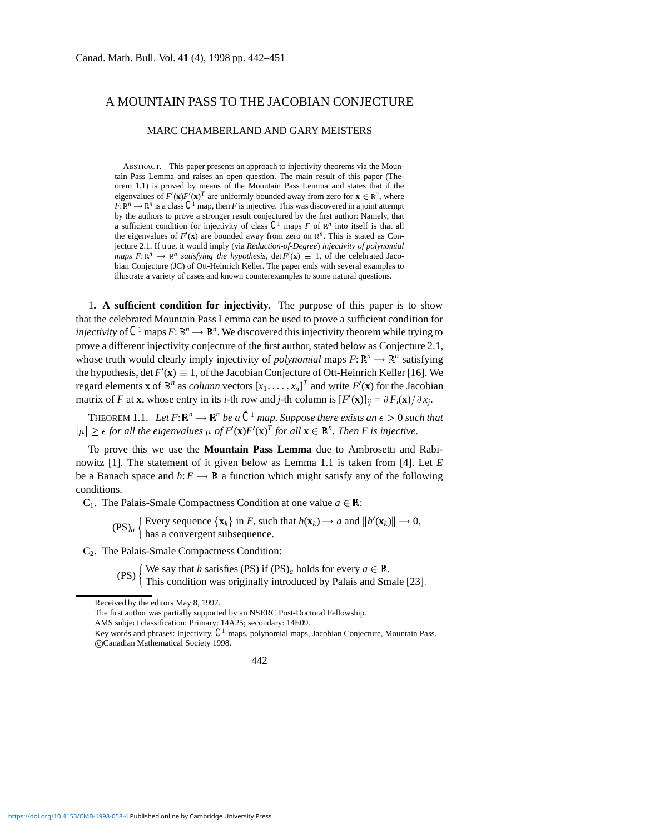# A MOUNTAIN PASS TO THE JACOBIAN CONJECTURE

### MARC CHAMBERLAND AND GARY MEISTERS

ABSTRACT. This paper presents an approach to injectivity theorems via the Mountain Pass Lemma and raises an open question. The main result of this paper (Theorem 1.1) is proved by means of the Mountain Pass Lemma and states that if the eigenvalues of  $F'(\mathbf{x})F'(\mathbf{x})^T$  are uniformly bounded away from zero for  $\mathbf{x} \in \mathbb{R}^n$ , where  $F: \mathbb{R}^n \to \mathbb{R}^n$  is a class  $C^1$  map, then *F* is injective. This was discovered in a joint attempt by the authors to prove a stronger result conjectured by the first author: Namely, that a sufficient condition for injectivity of class  $C^1$  maps  $F$  of  $\mathbb{R}^n$  into itself is that all the eigenvalues of  $F'(\mathbf{x})$  are bounded away from zero on  $\mathbb{R}^n$ . This is stated as Conjecture 2.1. If true, it would imply (via *Reduction-of-Degree*) *injectivity of polynomial maps*  $F: \mathbb{R}^n \to \mathbb{R}^n$  *satisfying the hypothesis*, det $F'(\mathbf{x}) \equiv 1$ , of the celebrated Jacobian Conjecture (JC) of Ott-Heinrich Keller. The paper ends with several examples to illustrate a variety of cases and known counterexamples to some natural questions.

1**. A sufficient condition for injectivity.** The purpose of this paper is to show that the celebrated Mountain Pass Lemma can be used to prove a sufficient condition for *injectivity* of  $C^1$  maps  $F: \mathbb{R}^n \longrightarrow \mathbb{R}^n$ . We discovered this injectivity theorem while trying to prove a different injectivity conjecture of the first author, stated below as Conjecture 2.1, whose truth would clearly imply injectivity of *polynomial* maps  $F: \mathbb{R}^n \to \mathbb{R}^n$  satisfying the hypothesis,  $\det F'(\mathbf{x}) \equiv 1$ , of the Jacobian Conjecture of Ott-Heinrich Keller [16]. We regard elements **x** of  $\mathbb{R}^n$  as *column* vectors  $[x_1, \ldots, x_n]^T$  and write  $F'(\mathbf{x})$  for the Jacobian matrix of *F* at **x**, whose entry in its *i*-th row and *j*-th column is  $[F'(\mathbf{x})]_{ij} = \partial F_i(\mathbf{x}) / \partial x_j$ .

THEOREM 1.1. Let  $F: \mathbb{R}^n \to \mathbb{R}^n$  be a  $C^1$  map. Suppose there exists an  $\epsilon > 0$  such that  $|\mu| \geq \epsilon$  for all the eigenvalues  $\mu$  of  $F'(\mathbf{x})F'(\mathbf{x})^T$  for all  $\mathbf{x} \in \mathbb{R}^n$ . Then F is injective.

To prove this we use the **Mountain Pass Lemma** due to Ambrosetti and Rabinowitz [1]. The statement of it given below as Lemma 1.1 is taken from [4]. Let *E* be a Banach space and  $h: E \to \mathbb{R}$  a function which might satisfy any of the following conditions.

C<sub>1</sub>. The Palais-Smale Compactness Condition at one value  $a \in \mathbb{R}$ :

 $(PS)_a$   $\left\{\text{Every sequence } \{\mathbf{x}_k\} \text{ in } E \text{, such that } h(\mathbf{x}_k) \to a \text{ and } ||h'(\mathbf{x}_k)|| \to 0, \right\}$ has a convergent subsequence.

C2. The Palais-Smale Compactness Condition:

(PS)  $\left\{\begin{array}{l}\text{We say that } h \text{ satisfies (PS) if (PS)<sub>a</sub> holds for every  $a \in \mathbb{R}.\text{ This condition was originally introduced by Palais and Smale [23].}\end{array}\right\}$$ 

The first author was partially supported by an NSERC Post-Doctoral Fellowship.

AMS subject classification: Primary: 14A25; secondary: 14E09.

Key words and phrases: Injectivity,  $C<sup>1</sup>$ -maps, polynomial maps, Jacobian Conjecture, Mountain Pass. c Canadian Mathematical Society 1998.

442

Received by the editors May 8, 1997.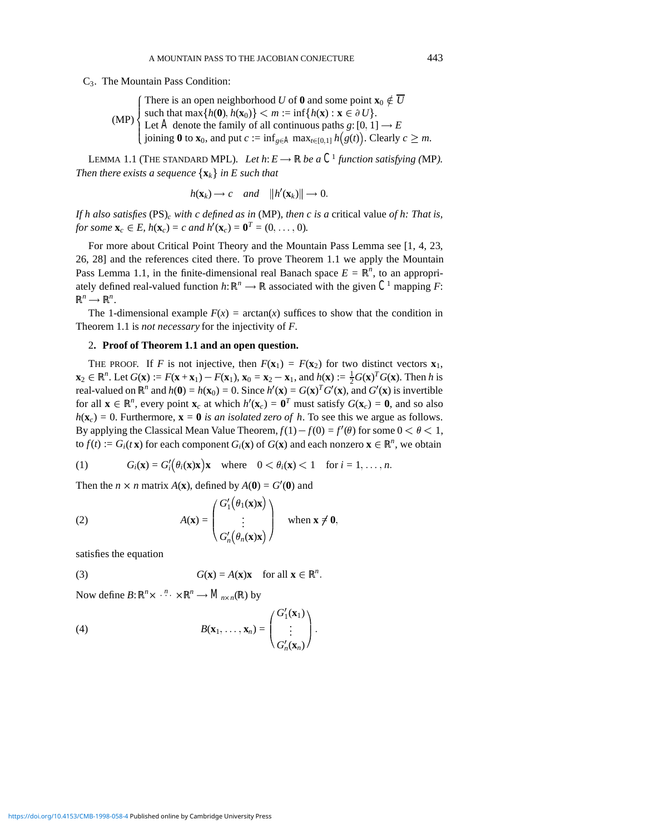C3. The Mountain Pass Condition:

(MP)  $\int$  $\int$  $\vert$ There is an open neighborhood *U* of **0** and some point  $\mathbf{x}_0 \notin \overline{U}$ such that  $\max\{h(\mathbf{0}), h(\mathbf{x}_0)\} < m := \inf\{h(\mathbf{x}) : \mathbf{x} \in \partial U\}.$ Let *A* denote the family of all continuous paths  $g: [0, 1] \rightarrow E$ joining  $\mathbf{0}$  to  $\mathbf{x}_0$ , and put  $c := \inf_{g \in A} \max_{t \in [0,1]} h(g(t))$ . Clearly  $c \geq m$ .

LEMMA 1.1 (THE STANDARD MPL). Let  $h: E \longrightarrow \mathbb{R}$  be a  $C^1$  function satisfying (MP). *Then there exists a sequence*  $\{x_k\}$  *in E such that* 

$$
h(\mathbf{x}_k) \rightarrow c
$$
 and  $||h'(\mathbf{x}_k)|| \rightarrow 0$ .

*If h also satisfies* (PS)*<sup>c</sup> with c defined as in* (MP)*, then c is a* critical value *of h: That is, for some*  $\mathbf{x}_c \in E$ *, h*( $\mathbf{x}_c$ ) = *c* and h'( $\mathbf{x}_c$ ) =  $\mathbf{0}^T = (0, \ldots, 0)$ *.* 

For more about Critical Point Theory and the Mountain Pass Lemma see [1, 4, 23, 26, 28] and the references cited there. To prove Theorem 1.1 we apply the Mountain Pass Lemma 1.1, in the finite-dimensional real Banach space  $E = \mathbb{R}^n$ , to an appropriately defined real-valued function  $h: \mathbb{R}^n \to \mathbb{R}$  associated with the given  $C^1$  mapping *F*:  $\mathbb{R}^n \longrightarrow \mathbb{R}^n$ .

The 1-dimensional example  $F(x) = \arctan(x)$  suffices to show that the condition in Theorem 1.1 is *not necessary* for the injectivity of *F*.

## 2**. Proof of Theorem 1.1 and an open question.**

THE PROOF. If *F* is not injective, then  $F(\mathbf{x}_1) = F(\mathbf{x}_2)$  for two distinct vectors  $\mathbf{x}_1$ ,  $\mathbf{x}_2 \in \mathbb{R}^n$ . Let  $G(\mathbf{x}) := F(\mathbf{x} + \mathbf{x}_1) - F(\mathbf{x}_1)$ ,  $\mathbf{x}_0 = \mathbf{x}_2 - \mathbf{x}_1$ , and  $h(\mathbf{x}) := \frac{1}{2}G(\mathbf{x})^T G(\mathbf{x})$ . Then *h* is real-valued on  $\mathbb{R}^n$  and  $h(\mathbf{0}) = h(\mathbf{x}_0) = 0$ . Since  $h'(\mathbf{x}) = G(\mathbf{x})^T G'(\mathbf{x})$ , and  $G'(\mathbf{x})$  is invertible for all  $\mathbf{x} \in \mathbb{R}^n$ , every point  $\mathbf{x}_c$  at which  $h'(\mathbf{x}_c) = \mathbf{0}^T$  must satisfy  $G(\mathbf{x}_c) = \mathbf{0}$ , and so also  $h(\mathbf{x}_c) = 0$ . Furthermore,  $\mathbf{x} = \mathbf{0}$  *is an isolated zero of h*. To see this we argue as follows. By applying the Classical Mean Value Theorem,  $f(1) - f(0) = f'(\theta)$  for some  $0 < \theta < 1$ , to  $f(t) := G_i(t\mathbf{x})$  for each component  $G_i(\mathbf{x})$  of  $G(\mathbf{x})$  and each nonzero  $\mathbf{x} \in \mathbb{R}^n$ , we obtain

(1) 
$$
G_i(\mathbf{x}) = G'_i(\theta_i(\mathbf{x})\mathbf{x})\mathbf{x} \text{ where } 0 < \theta_i(\mathbf{x}) < 1 \text{ for } i = 1, ..., n.
$$

Then the  $n \times n$  matrix  $A(\mathbf{x})$ , defined by  $A(\mathbf{0}) = G'(\mathbf{0})$  and

(2) 
$$
A(\mathbf{x}) = \begin{pmatrix} G_1'(\theta_1(\mathbf{x})\mathbf{x}) \\ \vdots \\ G_n'(\theta_n(\mathbf{x})\mathbf{x}) \end{pmatrix} \text{ when } \mathbf{x} \neq \mathbf{0},
$$

satisfies the equation

(3) 
$$
G(\mathbf{x}) = A(\mathbf{x})\mathbf{x} \text{ for all } \mathbf{x} \in \mathbb{R}^n.
$$

Now define  $B: \mathbb{R}^n \times \cdot \cdot^n \cdot \times \mathbb{R}^n \longrightarrow M_{n \times n}(\mathbb{R})$  by

(4) 
$$
B(\mathbf{x}_1,\ldots,\mathbf{x}_n)=\begin{pmatrix} G'_1(\mathbf{x}_1) \\ \vdots \\ G'_n(\mathbf{x}_n) \end{pmatrix}.
$$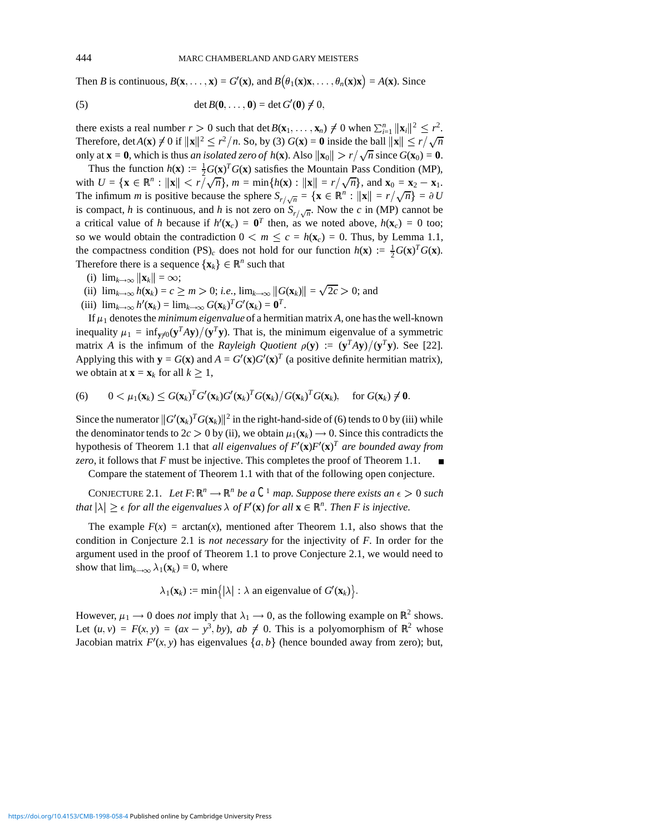Then *B* is continuous,  $B(\mathbf{x}, \dots, \mathbf{x}) = G'(\mathbf{x})$ , and  $B(\theta_1(\mathbf{x})\mathbf{x}, \dots, \theta_n(\mathbf{x})\mathbf{x}) = A(\mathbf{x})$ . Since

(5) 
$$
\det B(0,\ldots,0) = \det G'(0) \neq 0,
$$

there exists a real number  $r > 0$  such that det  $B(\mathbf{x}_1, \dots, \mathbf{x}_n) \neq 0$  when  $\sum_{i=1}^n ||\mathbf{x}_i||^2 \leq r^2$ . Therefore, det $A(\mathbf{x}) \neq 0$  if  $\|\mathbf{x}\|^2 \leq r^2/n$ . So, by (3)  $G(\mathbf{x}) = \mathbf{0}$  inside the ball  $\|\mathbf{x}\| \leq r/\sqrt{n}$ only at  $\mathbf{x} = \mathbf{0}$ , which is thus *an isolated zero of h*(**x**). Also  $\|\mathbf{x}_0\| > r/\sqrt{n}$  since  $G(\mathbf{x}_0) = \mathbf{0}$ .

Thus the function  $h(\mathbf{x}) := \frac{1}{2} G(\mathbf{x})^T G(\mathbf{x})$  satisfies the Mountain Pass Condition (MP), with  $U = \{ \mathbf{x} \in \mathbb{R}^n : ||\mathbf{x}|| < r/\sqrt{n} \}$ ,  $m = \min\{h(\mathbf{x}) : ||\mathbf{x}|| = r/\sqrt{n} \}$ , and  $\mathbf{x}_0 = \mathbf{x}_2 - \mathbf{x}_1$ . The infimum *m* is positive because the sphere  $S_{r/\sqrt{n}} = {\mathbf{x} \in \mathbb{R}^n : ||\mathbf{x}|| = r/\sqrt{n}} = \partial U$ is compact, *h* is continuous, and *h* is not zero on  $S_{r/\sqrt{n}}$ . Now the *c* in (MP) cannot be a critical value of *h* because if  $h'(\mathbf{x}_c) = \mathbf{0}^T$  then, as we noted above,  $h(\mathbf{x}_c) = 0$  too; so we would obtain the contradiction  $0 < m \le c = h(\mathbf{x}_c) = 0$ . Thus, by Lemma 1.1, the compactness condition  $(PS)_c$  does not hold for our function  $h(\mathbf{x}) := \frac{1}{2}G(\mathbf{x})^T G(\mathbf{x})$ . Therefore there is a sequence  $\{x_k\} \in \mathbb{R}^n$  such that

- (i)  $\lim_{k\to\infty} ||\mathbf{x}_k|| = \infty;$
- (i)  $\lim_{k \to \infty} ||\mathbf{x}_k|| = \infty$ ,<br>(ii)  $\lim_{k \to \infty} h(\mathbf{x}_k) = c \ge m > 0$ ; *i.e.*,  $\lim_{k \to \infty} ||G(\mathbf{x}_k)|| = \sqrt{2c} > 0$ ; and
- (iii)  $\lim_{k \to \infty} h'(\mathbf{x}_k) = \lim_{k \to \infty} G(\mathbf{x}_k)^T G'(\mathbf{x}_k) = \mathbf{0}^T$ .

If  $\mu_1$  denotes the *minimum eigenvalue* of a hermitian matrix *A*, one has the well-known inequality  $\mu_1 = \inf_{\mathbf{v} \neq 0} (\mathbf{y}^T A \mathbf{y})/(\mathbf{y}^T \mathbf{y})$ . That is, the minimum eigenvalue of a symmetric matrix *A* is the infimum of the *Rayleigh Quotient*  $\rho(\mathbf{y}) := (\mathbf{y}^T A \mathbf{y})/(\mathbf{y}^T \mathbf{y})$ . See [22]. Applying this with  $y = G(x)$  and  $A = G'(x)G'(x)^T$  (a positive definite hermitian matrix), we obtain at  $\mathbf{x} = \mathbf{x}_k$  for all  $k \geq 1$ ,

(6) 
$$
0 < \mu_1(\mathbf{x}_k) \leq G(\mathbf{x}_k)^T G'(\mathbf{x}_k) G'(\mathbf{x}_k)^T G(\mathbf{x}_k) / G(\mathbf{x}_k)^T G(\mathbf{x}_k), \text{ for } G(\mathbf{x}_k) \neq \mathbf{0}.
$$

Since the numerator  $\|G'(\mathbf{x}_k)^T G(\mathbf{x}_k)\|^2$  in the right-hand-side of (6) tends to 0 by (iii) while the denominator tends to  $2c > 0$  by (ii), we obtain  $\mu_1(\mathbf{x}_k) \rightarrow 0$ . Since this contradicts the hypothesis of Theorem 1.1 that *all eigenvalues of*  $F'(\mathbf{x})F'(\mathbf{x})^T$  are bounded away from *zero*, it follows that *F* must be injective. This completes the proof of Theorem 1.1.

Compare the statement of Theorem 1.1 with that of the following open conjecture.

CONJECTURE 2.1. Let  $F: \mathbb{R}^n \to \mathbb{R}^n$  be a  $C^1$  map. Suppose there exists an  $\epsilon > 0$  such *that*  $|\lambda| \ge \epsilon$  *for all the eigenvalues*  $\lambda$  *of*  $F'(\mathbf{x})$  *for all*  $\mathbf{x} \in \mathbb{R}^n$ *. Then* F *is injective.* 

The example  $F(x) = \arctan(x)$ , mentioned after Theorem 1.1, also shows that the condition in Conjecture 2.1 is *not necessary* for the injectivity of *F*. In order for the argument used in the proof of Theorem 1.1 to prove Conjecture 2.1, we would need to show that  $\lim_{k\to\infty} \lambda_1(\mathbf{x}_k) = 0$ , where

 $\lambda_1(\mathbf{x}_k) := \min \{ |\lambda| : \lambda \text{ an eigenvalue of } G'(\mathbf{x}_k) \}.$ 

However,  $\mu_1 \rightarrow 0$  does *not* imply that  $\lambda_1 \rightarrow 0$ , as the following example on  $\mathbb{R}^2$  shows. Let  $(u, v) = F(x, y) = (ax - y^3, by)$ ,  $ab \neq 0$ . This is a polyomorphism of  $\mathbb{R}^2$  whose Jacobian matrix  $F'(x, y)$  has eigenvalues  $\{a, b\}$  (hence bounded away from zero); but,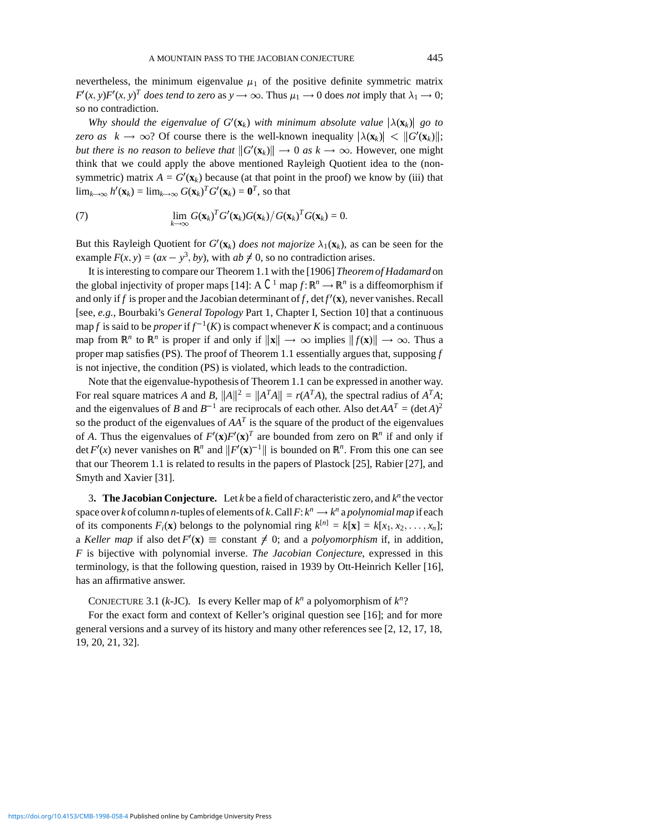nevertheless, the minimum eigenvalue  $\mu_1$  of the positive definite symmetric matrix  $F'(x, y)F'(x, y)^T$  *does tend to zero* as  $y \to \infty$ . Thus  $\mu_1 \to 0$  does *not* imply that  $\lambda_1 \to 0$ ; so no contradiction.

*Why should the eigenvalue of G'*( $\mathbf{x}_k$ ) *with minimum absolute value*  $|\lambda(\mathbf{x}_k)|$  *go to zero as*  $k \to \infty$ ? Of course there is the well-known inequality  $|\lambda(\mathbf{x}_k)| < ||G'(\mathbf{x}_k)||$ ; *but there is no reason to believe that*  $||G'(\mathbf{x}_k)|| \to 0$  *as k*  $\to \infty$ . However, one might think that we could apply the above mentioned Rayleigh Quotient idea to the (nonsymmetric) matrix  $A = G'(\mathbf{x}_k)$  because (at that point in the proof) we know by (iii) that  $\lim_{k\to\infty} h'(\mathbf{x}_k) = \lim_{k\to\infty} G(\mathbf{x}_k)^T G'(\mathbf{x}_k) = \mathbf{0}^T$ , so that

(7) 
$$
\lim_{k\to\infty} G(\mathbf{x}_k)^T G'(\mathbf{x}_k) G(\mathbf{x}_k) / G(\mathbf{x}_k)^T G(\mathbf{x}_k) = 0.
$$

But this Rayleigh Quotient for  $G'(\mathbf{x}_k)$  *does not majorize*  $\lambda_1(\mathbf{x}_k)$ , as can be seen for the example  $F(x, y) = (ax - y^3, by)$ , with  $ab \neq 0$ , so no contradiction arises.

It is interesting to compare our Theorem 1.1 with the [1906] *Theorem of Hadamard* on the global injectivity of proper maps [14]: A  $C^1$  map  $f: \mathbb{R}^n \to \mathbb{R}^n$  is a diffeomorphism if and only if *f* is proper and the Jacobian determinant of *f*, det  $f'(\mathbf{x})$ , never vanishes. Recall [see, *e.g.*, Bourbaki's *General Topology* Part 1, Chapter I, Section 10] that a continuous map *f* is said to be *proper* if  $f^{-1}(K)$  is compact whenever K is compact; and a continuous map from  $\mathbb{R}^n$  to  $\mathbb{R}^n$  is proper if and only if  $\|\mathbf{x}\| \to \infty$  implies  $\|f(\mathbf{x})\| \to \infty$ . Thus a proper map satisfies (PS). The proof of Theorem 1.1 essentially argues that, supposing *f* is not injective, the condition (PS) is violated, which leads to the contradiction.

Note that the eigenvalue-hypothesis of Theorem 1.1 can be expressed in another way. For real square matrices *A* and *B*,  $||A||^2 = ||A^T A|| = r(A^T A)$ , the spectral radius of  $A^T A$ ; and the eigenvalues of *B* and  $B^{-1}$  are reciprocals of each other. Also det $AA^{T} = (\text{det }A)^{2}$ so the product of the eigenvalues of *AA<sup>T</sup>* is the square of the product of the eigenvalues of *A*. Thus the eigenvalues of  $F'(\mathbf{x})F'(\mathbf{x})^T$  are bounded from zero on  $\mathbb{R}^n$  if and only if det  $F'(x)$  never vanishes on  $\mathbb{R}^n$  and  $\|F'(\mathbf{x})^{-1}\|$  is bounded on  $\mathbb{R}^n$ . From this one can see that our Theorem 1.1 is related to results in the papers of Plastock [25], Rabier [27], and Smyth and Xavier [31].

3**. The Jacobian Conjecture.** Let *k* be a field of characteristic zero, and *k<sup>n</sup>* the vector space over *k* of column *n*-tuples of elements of *k*. Call  $F: k^n \to k^n$  a polynomial map if each of its components  $F_i(\mathbf{x})$  belongs to the polynomial ring  $k^{[n]} = k[\mathbf{x}] = k[x_1, x_2, \dots, x_n]$ ; a *Keller map* if also det  $F'(\mathbf{x}) \equiv$  constant  $\neq$  0; and a *polyomorphism* if, in addition, *F* is bijective with polynomial inverse. *The Jacobian Conjecture*, expressed in this terminology, is that the following question, raised in 1939 by Ott-Heinrich Keller [16], has an affirmative answer.

CONJECTURE 3.1 (*k*-JC). Is every Keller map of *k<sup>n</sup>* a polyomorphism of *k<sup>n</sup>*?

For the exact form and context of Keller's original question see [16]; and for more general versions and a survey of its history and many other references see [2, 12, 17, 18, 19, 20, 21, 32].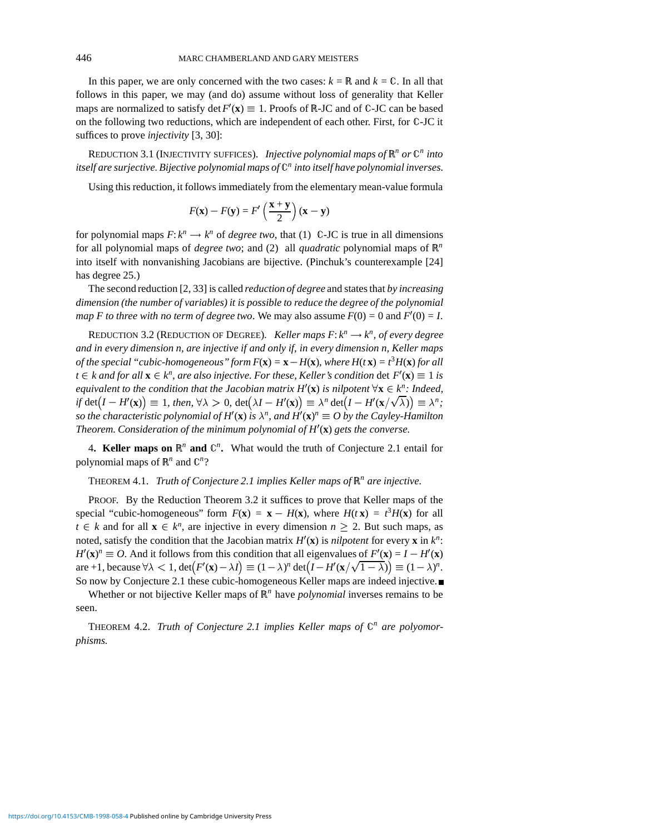In this paper, we are only concerned with the two cases:  $k = \mathbb{R}$  and  $k = \mathbb{C}$ . In all that follows in this paper, we may (and do) assume without loss of generality that Keller maps are normalized to satisfy  $\det F'(\mathbf{x}) \equiv 1$ . Proofs of R-JC and of C-JC can be based on the following two reductions, which are independent of each other. First, for C-JC it suffices to prove *injectivity* [3, 30]:

REDUCTION 3.1 (INJECTIVITY SUFFICES). *Injective polynomial maps of*  $\mathbb{R}^n$  *or*  $\mathbb{C}^n$  *into itself are surjective. Bijective polynomial maps of* C*<sup>n</sup> into itself have polynomial inverses.*

Using this reduction, it follows immediately from the elementary mean-value formula

$$
F(\mathbf{x}) - F(\mathbf{y}) = F'\left(\frac{\mathbf{x} + \mathbf{y}}{2}\right)(\mathbf{x} - \mathbf{y})
$$

for polynomial maps  $F: k^n \to k^n$  of *degree two*, that (1) C-JC is true in all dimensions for all polynomial maps of *degree two*; and (2) all *quadratic* polynomial maps of R*<sup>n</sup>* into itself with nonvanishing Jacobians are bijective. (Pinchuk's counterexample [24] has degree 25.)

The second reduction [2, 33] is called *reduction of degree* and states that *by increasing dimension (the number of variables) it is possible to reduce the degree of the polynomial map F to three with no term of degree two.* We may also assume  $F(0) = 0$  and  $F'(0) = I$ .

REDUCTION 3.2 (REDUCTION OF DEGREE). *Keller maps*  $F: k^n \rightarrow k^n$ *, of every degree and in every dimension n, are injective if and only if, in every dimension n, Keller maps of the special "cubic-homogeneous" form*  $F(\mathbf{x}) = \mathbf{x} - H(\mathbf{x})$ , where  $H(t\mathbf{x}) = t^3 H(\mathbf{x})$  for all  $t \in k$  and for all  $\mathbf{x} \in k^n$ , are also injective. For these, Keller's condition det  $F'(\mathbf{x}) \equiv 1$  is *equivalent to the condition that the Jacobian matrix*  $H'(\mathbf{x})$  *is nilpotent*  $\forall \mathbf{x} \in k^n$ *: Indeed, if* det  $(I - H'(x)) \equiv 1$ , then,  $\forall \lambda > 0$ , det  $(\lambda I - H'(x)) \equiv \lambda^n \det(I - H'(x/\sqrt{\lambda})) \equiv \lambda^n$ ; so the characteristic polynomial of  $H'(\mathbf{x})$  is  $\lambda^n$ , and  $H'(\mathbf{x})^n \equiv O$  by the Cayley-Hamilton *Theorem. Consideration of the minimum polynomial of H*<sup>0</sup> (**x**) *gets the converse.*

4. Keller maps on  $\mathbb{R}^n$  and  $\mathbb{C}^n$ . What would the truth of Conjecture 2.1 entail for polynomial maps of  $\mathbb{R}^n$  and  $\mathbb{C}^n$ ?

THEOREM 4.1. *Truth of Conjecture 2.1 implies Keller maps of* R*<sup>n</sup> are injective.*

PROOF. By the Reduction Theorem 3.2 it suffices to prove that Keller maps of the special "cubic-homogeneous" form  $F(\mathbf{x}) = \mathbf{x} - H(\mathbf{x})$ , where  $H(t\mathbf{x}) = t^3 H(\mathbf{x})$  for all  $t \in k$  and for all  $\mathbf{x} \in k^n$ , are injective in every dimension  $n \geq 2$ . But such maps, as noted, satisfy the condition that the Jacobian matrix  $H'(\mathbf{x})$  is *nilpotent* for every  $\mathbf{x}$  in  $k^n$ :  $H'(\mathbf{x})^n \equiv O$ . And it follows from this condition that all eigenvalues of  $F'(\mathbf{x}) = I - H'(\mathbf{x})$ are +1, because  $\forall \lambda < 1$ ,  $\det(F'(\mathbf{x}) - \lambda I) \equiv (1 - \lambda)^n \det(I - H'(\mathbf{x}/\sqrt{1 - \lambda})) \equiv (1 - \lambda)^n$ . So now by Conjecture 2.1 these cubic-homogeneous Keller maps are indeed injective.

Whether or not bijective Keller maps of R*<sup>n</sup>* have *polynomial* inverses remains to be seen.

THEOREM 4.2. *Truth of Conjecture 2.1 implies Keller maps of*  $\mathbb{C}^n$  *are polyomorphisms.*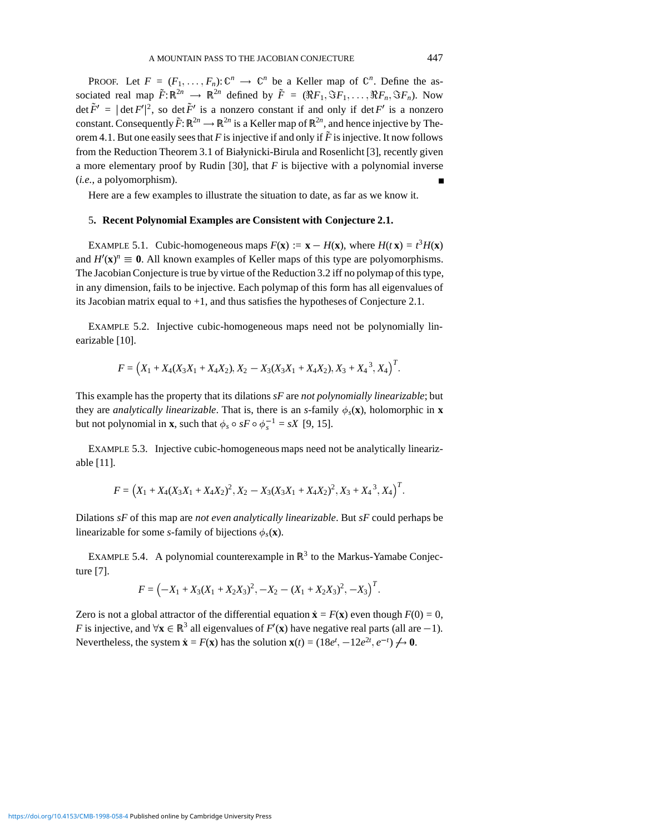PROOF. Let  $F = (F_1, \ldots, F_n): \mathbb{C}^n \to \mathbb{C}^n$  be a Keller map of  $\mathbb{C}^n$ . Define the associated real map  $\tilde{F}$ :  $\mathbb{R}^{2n} \to \mathbb{R}^{2n}$  defined by  $\tilde{F} = (\Re F_1, \Im F_1, \dots, \Re F_n, \Im F_n)$ . Now det  $\tilde{F}' = |\det F'|^2$ , so det  $\tilde{F}'$  is a nonzero constant if and only if det  $F'$  is a nonzero constant. Consequently  $\tilde{F}$ :  $\mathbb{R}^{2n} \to \mathbb{R}^{2n}$  is a Keller map of  $\mathbb{R}^{2n}$ , and hence injective by Theorem 4.1. But one easily sees that *F* is injective if and only if  $\tilde{F}$  is injective. It now follows from the Reduction Theorem 3.1 of Białynicki-Birula and Rosenlicht [3], recently given a more elementary proof by Rudin [30], that *F* is bijective with a polynomial inverse (*i.e.*, a polyomorphism).

Here are a few examples to illustrate the situation to date, as far as we know it.

#### 5**. Recent Polynomial Examples are Consistent with Conjecture 2.1.**

EXAMPLE 5.1. Cubic-homogeneous maps  $F(\mathbf{x}) := \mathbf{x} - H(\mathbf{x})$ , where  $H(t\mathbf{x}) = t^3 H(\mathbf{x})$ and  $H'(\mathbf{x})^n \equiv 0$ . All known examples of Keller maps of this type are polyomorphisms. The Jacobian Conjecture is true by virtue of the Reduction 3.2 iff no polymap of this type, in any dimension, fails to be injective. Each polymap of this form has all eigenvalues of its Jacobian matrix equal to +1, and thus satisfies the hypotheses of Conjecture 2.1.

EXAMPLE 5.2. Injective cubic-homogeneous maps need not be polynomially linearizable [10].

$$
F = (X_1 + X_4(X_3X_1 + X_4X_2), X_2 - X_3(X_3X_1 + X_4X_2), X_3 + X_4^3, X_4)^T.
$$

This example has the property that its dilations *sF* are *not polynomially linearizable*; but they are *analytically linearizable*. That is, there is an *s*-family  $\phi_s(\mathbf{x})$ , holomorphic in **x** but not polynomial in **x**, such that  $\phi_s \circ sF \circ \phi_s^{-1} = sX$  [9, 15].

EXAMPLE 5.3. Injective cubic-homogeneous maps need not be analytically linearizable [11].

$$
F = (X_1 + X_4(X_3X_1 + X_4X_2)^2, X_2 - X_3(X_3X_1 + X_4X_2)^2, X_3 + X_4^3, X_4)^T.
$$

Dilations *sF* of this map are *not even analytically linearizable*. But *sF* could perhaps be linearizable for some *s*-family of bijections  $\phi_s(\mathbf{x})$ .

EXAMPLE 5.4. A polynomial counterexample in  $\mathbb{R}^3$  to the Markus-Yamabe Conjecture [7].

$$
F = \left(-X_1 + X_3(X_1 + X_2X_3)^2, -X_2 - (X_1 + X_2X_3)^2, -X_3\right)^T.
$$

Zero is not a global attractor of the differential equation  $\dot{\mathbf{x}} = F(\mathbf{x})$  even though  $F(0) = 0$ , *F* is injective, and  $\forall$ **x**  $\in \mathbb{R}^3$  all eigenvalues of *F*<sup> $\prime$ </sup>(**x**) have negative real parts (all are -1). Nevertheless, the system  $\dot{\mathbf{x}} = F(\mathbf{x})$  has the solution  $\mathbf{x}(t) = (18e^t, -12e^{2t}, e^{-t}) \neq \mathbf{0}$ .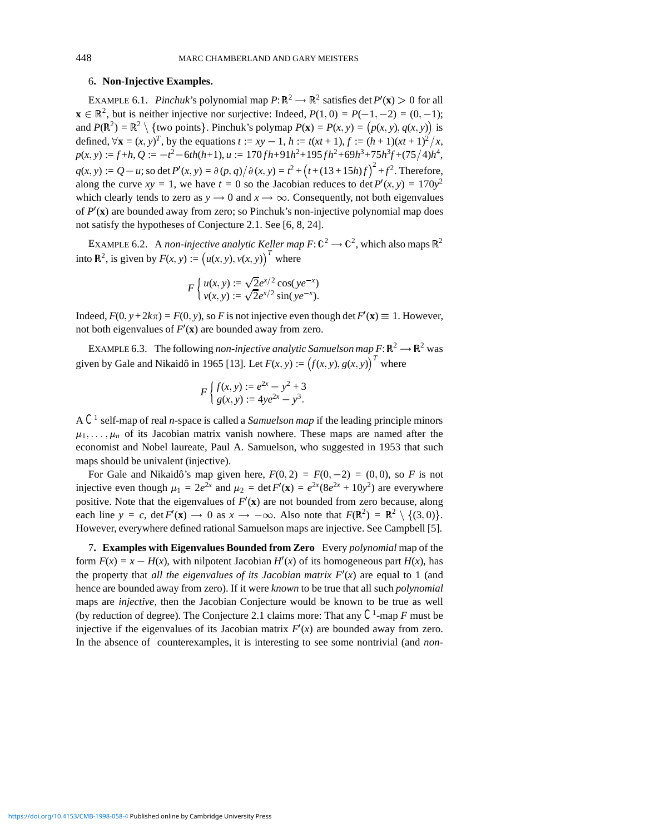#### 6**. Non-Injective Examples.**

EXAMPLE 6.1. *Pinchuk*'s polynomial map  $P: \mathbb{R}^2 \to \mathbb{R}^2$  satisfies det  $P'(\mathbf{x}) > 0$  for all  $\mathbf{x} \in \mathbb{R}^2$ , but is neither injective nor surjective: Indeed,  $P(1,0) = P(-1,-2) = (0,-1);$ and  $P(\mathbb{R}^2) = \mathbb{R}^2 \setminus \{$ two points}. Pinchuk's polymap  $P(\mathbf{x}) = P(x, y) = (p(x, y), q(x, y))$  is defined,  $\forall$ **x** =  $(x, y)^T$ , by the equations *t* := *xy* - 1, *h* := *t*(*xt* + 1), *f* :=  $(h + 1)(xt + 1)^2/x$ ,  $p(x, y) := f + h, Q := -t^2 - 6th(h+1), u := 170fh + 91h^2 + 195fh^2 + 69h^3 + 75h^3f + (75/4)h^4$  $q(x, y) := Q - u$ ; so det  $P'(x, y) = \frac{\partial (p, q)}{\partial (x, y)} = t^2 + (t + (13 + 15h)f)^2 + f^2$ . Therefore, along the curve  $xy = 1$ , we have  $t = 0$  so the Jacobian reduces to det  $P'(x, y) = 170y^2$ which clearly tends to zero as  $y \rightarrow 0$  and  $x \rightarrow \infty$ . Consequently, not both eigenvalues of  $P'(\mathbf{x})$  are bounded away from zero; so Pinchuk's non-injective polynomial map does not satisfy the hypotheses of Conjecture 2.1. See [6, 8, 24].

EXAMPLE 6.2. A *non-injective analytic Keller map*  $F: \mathbb{C}^2 \to \mathbb{C}^2$ , which also maps  $\mathbb{R}^2$ into  $\mathbb{R}^2$ , is given by  $F(x, y) := (u(x, y), v(x, y))$ <sup>T</sup> where

$$
F\left\{\frac{u(x, y) := \sqrt{2}e^{x/2}\cos(ye^{-x})}{v(x, y) := \sqrt{2}e^{x/2}\sin(ye^{-x})}\right\}
$$

Indeed,  $F(0, y+2k\pi) = F(0, y)$ , so *F* is not injective even though det  $F'(\mathbf{x}) \equiv 1$ . However, not both eigenvalues of  $F'(\mathbf{x})$  are bounded away from zero.

EXAMPLE 6.3. The following *non-injective analytic Samuelson map*  $F: \mathbb{R}^2 \to \mathbb{R}^2$  was given by Gale and Nikaidô in 1965 [13]. Let  $F(x, y) := (f(x, y), g(x, y))^T$  where

$$
F\begin{cases} f(x, y) := e^{2x} - y^2 + 3 \\ g(x, y) := 4ye^{2x} - y^3. \end{cases}
$$

A *C*<sup>1</sup> self-map of real *n*-space is called a *Samuelson map* if the leading principle minors  $\mu_1, \ldots, \mu_n$  of its Jacobian matrix vanish nowhere. These maps are named after the economist and Nobel laureate, Paul A. Samuelson, who suggested in 1953 that such maps should be univalent (injective).

For Gale and Nikaidô's map given here,  $F(0, 2) = F(0, -2) = (0, 0)$ , so *F* is not injective even though  $\mu_1 = 2e^{2x}$  and  $\mu_2 = \det F'(\mathbf{x}) = e^{2x}(8e^{2x} + 10y^2)$  are everywhere positive. Note that the eigenvalues of  $F'(\mathbf{x})$  are not bounded from zero because, along each line  $y = c$ , det  $F'(\mathbf{x}) \to 0$  as  $x \to -\infty$ . Also note that  $F(\mathbb{R}^2) = \mathbb{R}^2 \setminus \{(3,0)\}.$ However, everywhere defined rational Samuelson maps are injective. See Campbell [5].

7**. Examples with Eigenvalues Bounded from Zero** Every *polynomial* map of the form  $F(x) = x - H(x)$ , with nilpotent Jacobian  $H'(x)$  of its homogeneous part  $H(x)$ , has the property that *all the eigenvalues of its Jacobian matrix*  $F'(x)$  are equal to 1 (and hence are bounded away from zero). If it were *known* to be true that all such *polynomial* maps are *injective*, then the Jacobian Conjecture would be known to be true as well (by reduction of degree). The Conjecture 2.1 claims more: That any *C*1-map *F* must be injective if the eigenvalues of its Jacobian matrix  $F'(x)$  are bounded away from zero. In the absence of counterexamples, it is interesting to see some nontrivial (and *non-*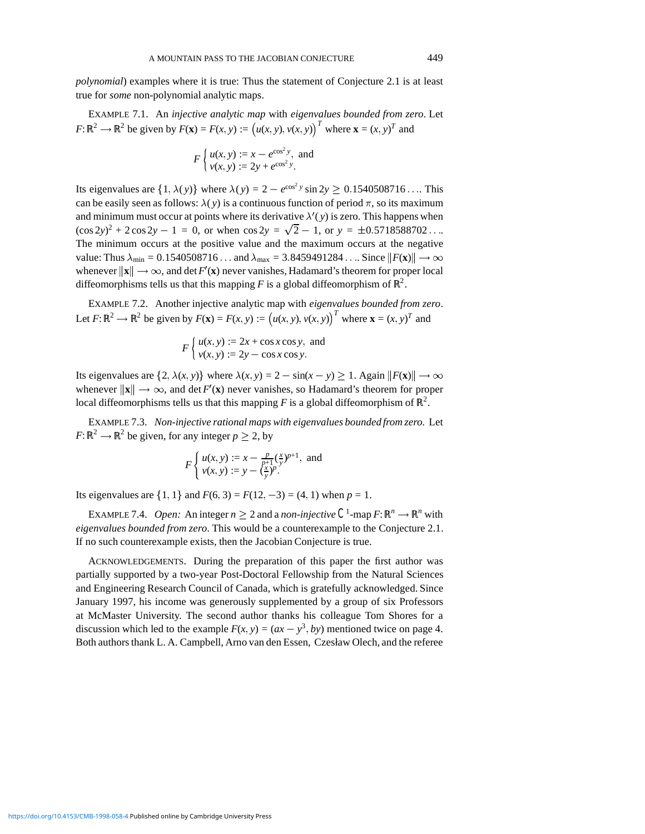*polynomial*) examples where it is true: Thus the statement of Conjecture 2.1 is at least true for *some* non-polynomial analytic maps.

EXAMPLE 7.1. An *injective analytic map* with *eigenvalues bounded from zero*. Let  $F: \mathbb{R}^2 \to \mathbb{R}^2$  be given by  $F(\mathbf{x}) = F(x, y) := (u(x, y), v(x, y))$ <sup>T</sup> where  $\mathbf{x} = (x, y)$ <sup>T</sup> and

$$
F\left\{\frac{u(x, y) := x - e^{\cos^2 y}}{v(x, y) := 2y + e^{\cos^2 y}}\right\}
$$
 and

Its eigenvalues are  $\{1, \lambda(y)\}\$  where  $\lambda(y)=2 - e^{\cos^2 y} \sin 2y \ge 0.1540508716 \dots$  This can be easily seen as follows:  $\lambda(y)$  is a continuous function of period  $\pi$ , so its maximum and minimum must occur at points where its derivative  $\lambda'(y)$  is zero. This happens when  $(\cos 2y)^2 + 2 \cos 2y - 1 = 0$ , or when  $\cos 2y = \sqrt{2} - 1$ , or  $y = \pm 0.5718588702...$ The minimum occurs at the positive value and the maximum occurs at the negative value: Thus  $\lambda_{min} = 0.1540508716...$  and  $\lambda_{max} = 3.8459491284...$  Since  $||F(\mathbf{x})|| \rightarrow \infty$ whenever  $\|\mathbf{x}\| \to \infty$ , and det  $F'(\mathbf{x})$  never vanishes, Hadamard's theorem for proper local diffeomorphisms tells us that this mapping F is a global diffeomorphism of  $\mathbb{R}^2$ .

EXAMPLE 7.2. Another injective analytic map with *eigenvalues bounded from zero*. Let  $F: \mathbb{R}^2 \to \mathbb{R}^2$  be given by  $F(\mathbf{x}) = F(x, y) := (u(x, y), v(x, y))$ <sup>T</sup> where  $\mathbf{x} = (x, y)$ <sup>T</sup> and

$$
F\begin{cases} u(x, y) := 2x + \cos x \cos y, \text{ and} \\ v(x, y) := 2y - \cos x \cos y. \end{cases}
$$

Its eigenvalues are  $\{2, \lambda(x, y)\}$  where  $\lambda(x, y) = 2 - \sin(x - y) \ge 1$ . Again  $||F(\mathbf{x})|| \to \infty$ whenever  $\|\mathbf{x}\| \to \infty$ , and det *F'*(**x**) never vanishes, so Hadamard's theorem for proper local diffeomorphisms tells us that this mapping  $F$  is a global diffeomorphism of  $\mathbb{R}^2$ .

EXAMPLE 7.3. *Non-injective rational maps with eigenvalues bounded from zero.* Let  $F: \mathbb{R}^2 \to \mathbb{R}^2$  be given, for any integer  $p > 2$ , by

$$
F\begin{cases} u(x, y) := x - \frac{p}{p+1}(\frac{x}{y})^{p+1}, \text{ and} \\ v(x, y) := y - (\frac{x}{y})^p. \end{cases}
$$

Its eigenvalues are  $\{1, 1\}$  and  $F(6, 3) = F(12, -3) = (4, 1)$  when  $p = 1$ .

EXAMPLE 7.4. *Open:* An integer  $n \geq 2$  and a *non-injective*  $C^1$ -map  $F: \mathbb{R}^n \to \mathbb{R}^n$  with *eigenvalues bounded from zero*. This would be a counterexample to the Conjecture 2.1. If no such counterexample exists, then the Jacobian Conjecture is true.

ACKNOWLEDGEMENTS. During the preparation of this paper the first author was partially supported by a two-year Post-Doctoral Fellowship from the Natural Sciences and Engineering Research Council of Canada, which is gratefully acknowledged. Since January 1997, his income was generously supplemented by a group of six Professors at McMaster University. The second author thanks his colleague Tom Shores for a discussion which led to the example  $F(x, y) = (ax - y^3, by)$  mentioned twice on page 4. Both authors thank L. A. Campbell, Arno van den Essen, Czesław Olech, and the referee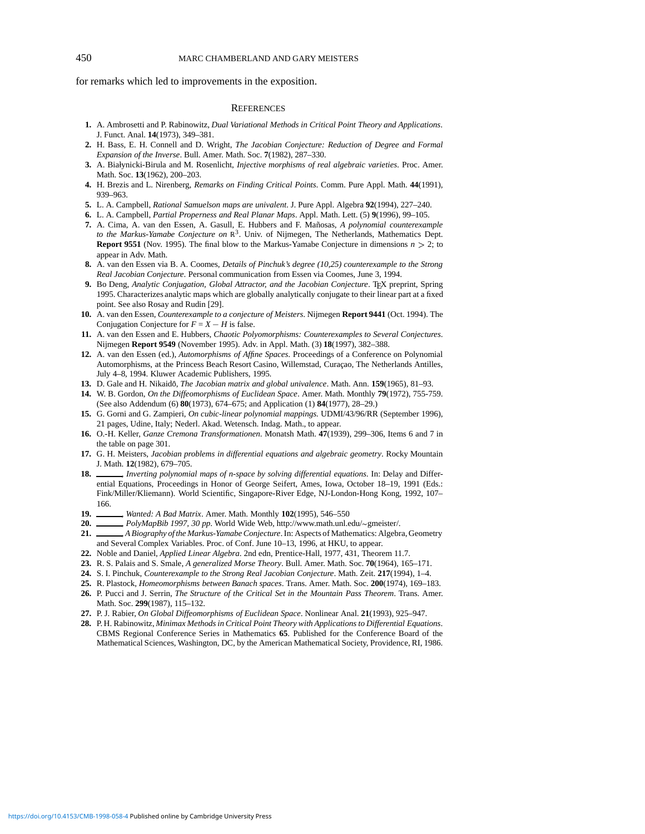### 450 MARC CHAMBERLAND AND GARY MEISTERS

for remarks which led to improvements in the exposition.

#### **REFERENCES**

- **1.** A. Ambrosetti and P. Rabinowitz, *Dual Variational Methods in Critical Point Theory and Applications*. J. Funct. Anal. **14**(1973), 349–381.
- **2.** H. Bass, E. H. Connell and D. Wright, *The Jacobian Conjecture: Reduction of Degree and Formal Expansion of the Inverse*. Bull. Amer. Math. Soc. **7**(1982), 287–330.
- **3.** A. Białynicki-Birula and M. Rosenlicht, *Injective morphisms of real algebraic varieties*. Proc. Amer. Math. Soc. **13**(1962), 200–203.
- **4.** H. Brezis and L. Nirenberg, *Remarks on Finding Critical Points*. Comm. Pure Appl. Math. **44**(1991), 939–963.
- **5.** L. A. Campbell, *Rational Samuelson maps are univalent*. J. Pure Appl. Algebra **92**(1994), 227–240.
- **6.** L. A. Campbell, *Partial Properness and Real Planar Maps*. Appl. Math. Lett. (5) **9**(1996), 99–105.
- **7.** A. Cima, A. van den Essen, A. Gasull, E. Hubbers and F. Mañosas, A polynomial counterexample *to the Markus-Yamabe Conjecture on* <sup>R</sup>3. Univ. of Nijmegen, The Netherlands, Mathematics Dept. **Report 9551** (Nov. 1995). The final blow to the Markus-Yamabe Conjecture in dimensions  $n > 2$ ; to appear in Adv. Math.
- **8.** A. van den Essen via B. A. Coomes, *Details of Pinchuk's degree (10,25) counterexample to the Strong Real Jacobian Conjecture*. Personal communication from Essen via Coomes, June 3, 1994.
- **9.** Bo Deng, *Analytic Conjugation, Global Attractor, and the Jacobian Conjecture*. TEX preprint, Spring 1995. Characterizes analytic maps which are globally analytically conjugate to their linear part at a fixed point. See also Rosay and Rudin [29].
- **10.** A. van den Essen, *Counterexample to a conjecture of Meisters*. Nijmegen **Report 9441** (Oct. 1994). The Conjugation Conjecture for  $F = X - H$  is false.
- **11.** A. van den Essen and E. Hubbers, *Chaotic Polyomorphisms: Counterexamples to Several Conjectures*. Nijmegen **Report 9549** (November 1995). Adv. in Appl. Math. (3) **18**(1997), 382–388.
- **12.** A. van den Essen (ed.), *Automorphisms of Affine Spaces*. Proceedings of a Conference on Polynomial Automorphisms, at the Princess Beach Resort Casino, Willemstad, Curaçao, The Netherlands Antilles, July 4–8, 1994. Kluwer Academic Publishers, 1995.
- **13.** D. Gale and H. Nikaido,ˆ *The Jacobian matrix and global univalence*. Math. Ann. **159**(1965), 81–93.
- **14.** W. B. Gordon, *On the Diffeomorphisms of Euclidean Space*. Amer. Math. Monthly **79**(1972), 755-759. (See also Addendum (6) **80**(1973), 674–675; and Application (1) **84**(1977), 28–29.)
- **15.** G. Gorni and G. Zampieri, *On cubic-linear polynomial mappings*. UDMI/43/96/RR (September 1996), 21 pages, Udine, Italy; Nederl. Akad. Wetensch. Indag. Math., to appear.
- **16.** O.-H. Keller, *Ganze Cremona Transformationen*. Monatsh Math. **47**(1939), 299–306, Items 6 and 7 in the table on page 301.
- **17.** G. H. Meisters, *Jacobian problems in differential equations and algebraic geometry*. Rocky Mountain J. Math. **12**(1982), 679–705.
- 18. \_\_\_\_\_, *Inverting polynomial maps of n-space by solving differential equations*. In: Delay and Differential Equations, Proceedings in Honor of George Seifert, Ames, Iowa, October 18–19, 1991 (Eds.: Fink/Miller/Kliemann). World Scientific, Singapore-River Edge, NJ-London-Hong Kong, 1992, 107– 166.
- **19.** , *Wanted: A Bad Matrix*. Amer. Math. Monthly **102**(1995), 546–550
- 20. *\_\_\_\_, PolyMapBib 1997, 30 pp.* World Wide Web, http://www.math.unl.edu/~gmeister/.
- 21. A Biography of the Markus-Yamabe Conjecture. In: Aspects of Mathematics: Algebra, Geometry and Several Complex Variables. Proc. of Conf. June 10–13, 1996, at HKU, to appear.
- **22.** Noble and Daniel, *Applied Linear Algebra*. 2nd edn, Prentice-Hall, 1977, 431, Theorem 11.7.
- **23.** R. S. Palais and S. Smale, *A generalized Morse Theory*. Bull. Amer. Math. Soc. **70**(1964), 165–171.
- **24.** S. I. Pinchuk, *Counterexample to the Strong Real Jacobian Conjecture*. Math. Zeit. **217**(1994), 1–4.
- **25.** R. Plastock, *Homeomorphisms between Banach spaces*. Trans. Amer. Math. Soc. **200**(1974), 169–183.
- **26.** P. Pucci and J. Serrin, *The Structure of the Critical Set in the Mountain Pass Theorem*. Trans. Amer. Math. Soc. **299**(1987), 115–132.
- **27.** P. J. Rabier, *On Global Diffeomorphisms of Euclidean Space*. Nonlinear Anal. **21**(1993), 925–947.
- **28.** P. H. Rabinowitz, *Minimax Methods in Critical Point Theory with Applications to Differential Equations*. CBMS Regional Conference Series in Mathematics **65**. Published for the Conference Board of the Mathematical Sciences, Washington, DC, by the American Mathematical Society, Providence, RI, 1986.